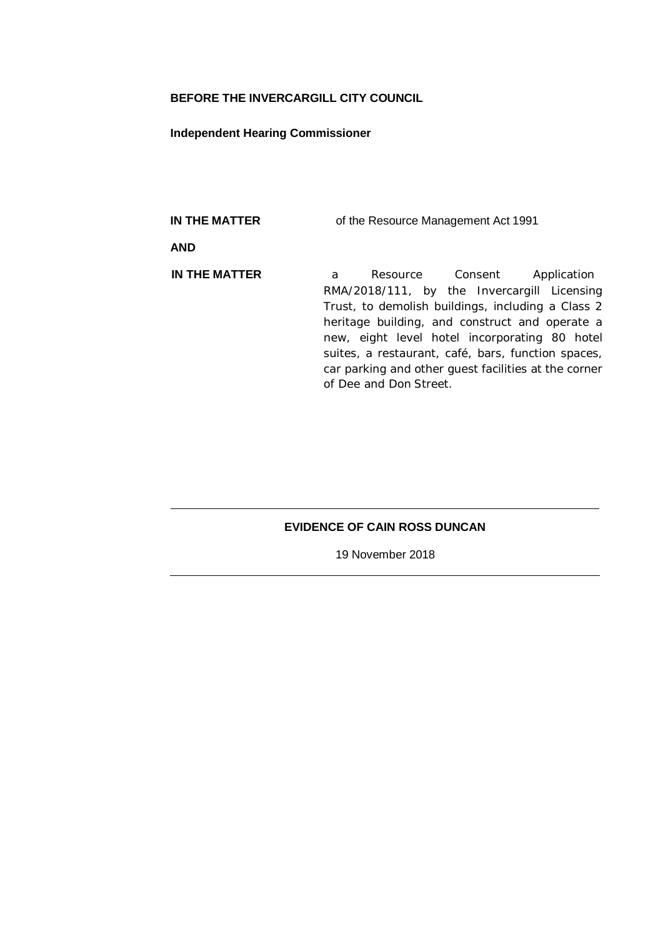## **BEFORE THE INVERCARGILL CITY COUNCIL**

#### **Independent Hearing Commissioner**

**IN THE MATTER** of the Resource Management Act 1991 **AND IN THE MATTER** a Resource Consent Application RMA/2018/111, by the Invercargill Licensing Trust, to demolish buildings, including a Class 2 heritage building, and construct and operate a new, eight level hotel incorporating 80 hotel suites, a restaurant, café, bars, function spaces, car parking and other guest facilities at the corner of Dee and Don Street.

## **EVIDENCE OF CAIN ROSS DUNCAN**

19 November 2018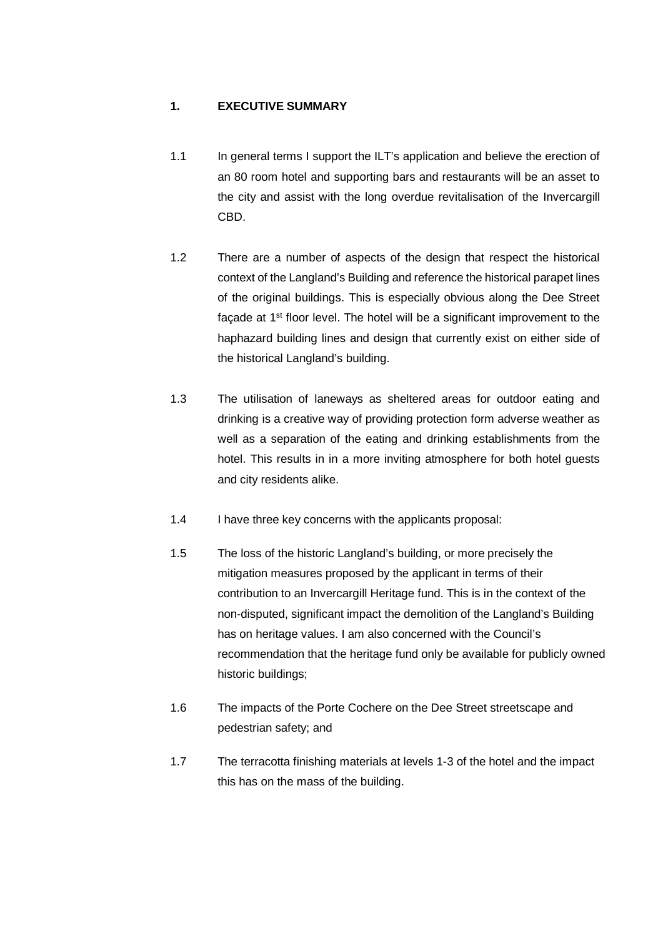# **1. EXECUTIVE SUMMARY**

- 1.1 In general terms I support the ILT's application and believe the erection of an 80 room hotel and supporting bars and restaurants will be an asset to the city and assist with the long overdue revitalisation of the Invercargill CBD.
- 1.2 There are a number of aspects of the design that respect the historical context of the Langland's Building and reference the historical parapet lines of the original buildings. This is especially obvious along the Dee Street façade at 1st floor level. The hotel will be a significant improvement to the haphazard building lines and design that currently exist on either side of the historical Langland's building.
- 1.3 The utilisation of laneways as sheltered areas for outdoor eating and drinking is a creative way of providing protection form adverse weather as well as a separation of the eating and drinking establishments from the hotel. This results in in a more inviting atmosphere for both hotel guests and city residents alike.
- 1.4 I have three key concerns with the applicants proposal:
- 1.5 The loss of the historic Langland's building, or more precisely the mitigation measures proposed by the applicant in terms of their contribution to an Invercargill Heritage fund. This is in the context of the non-disputed, significant impact the demolition of the Langland's Building has on heritage values. I am also concerned with the Council's recommendation that the heritage fund only be available for publicly owned historic buildings;
- 1.6 The impacts of the Porte Cochere on the Dee Street streetscape and pedestrian safety; and
- 1.7 The terracotta finishing materials at levels 1-3 of the hotel and the impact this has on the mass of the building.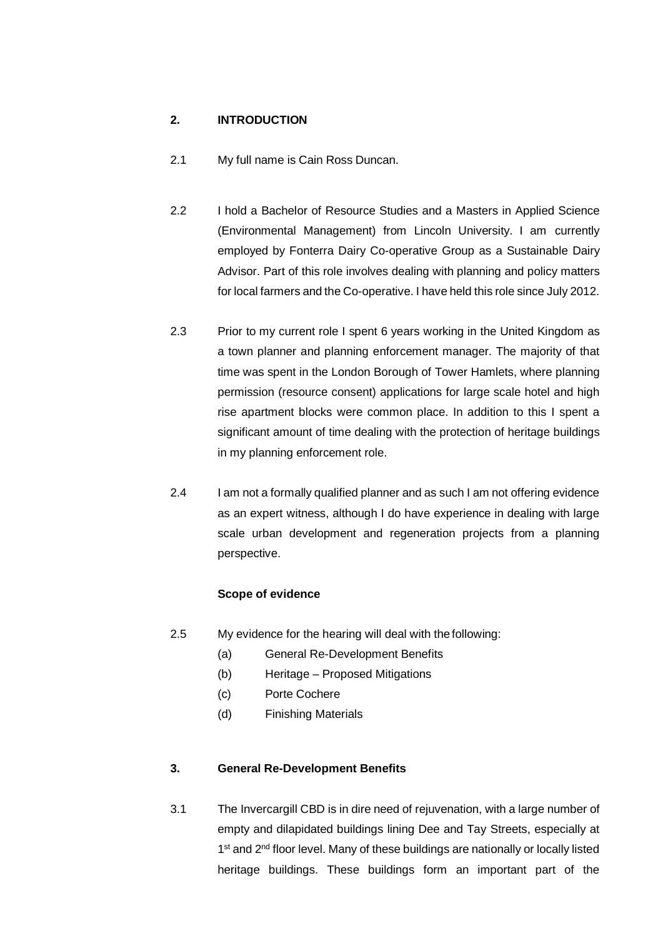# **2. INTRODUCTION**

- 2.1 My full name is Cain Ross Duncan.
- 2.2 I hold a Bachelor of Resource Studies and a Masters in Applied Science (Environmental Management) from Lincoln University. I am currently employed by Fonterra Dairy Co-operative Group as a Sustainable Dairy Advisor. Part of this role involves dealing with planning and policy matters for local farmers and the Co-operative. I have held this role since July 2012.
- 2.3 Prior to my current role I spent 6 years working in the United Kingdom as a town planner and planning enforcement manager. The majority of that time was spent in the London Borough of Tower Hamlets, where planning permission (resource consent) applications for large scale hotel and high rise apartment blocks were common place. In addition to this I spent a significant amount of time dealing with the protection of heritage buildings in my planning enforcement role.
- 2.4 I am not a formally qualified planner and as such I am not offering evidence as an expert witness, although I do have experience in dealing with large scale urban development and regeneration projects from a planning perspective.

## **Scope of evidence**

- 2.5 My evidence for the hearing will deal with the following:
	- (a) General Re-Development Benefits
	- (b) Heritage Proposed Mitigations
	- (c) Porte Cochere
	- (d) Finishing Materials

#### **3. General Re-Development Benefits**

3.1 The Invercargill CBD is in dire need of rejuvenation, with a large number of empty and dilapidated buildings lining Dee and Tay Streets, especially at 1<sup>st</sup> and 2<sup>nd</sup> floor level. Many of these buildings are nationally or locally listed heritage buildings. These buildings form an important part of the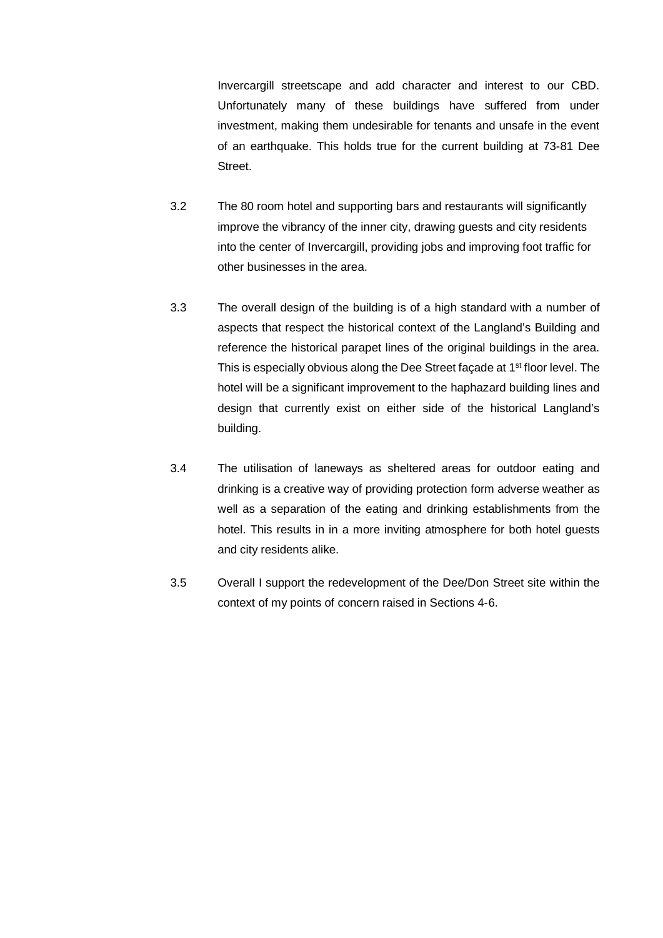Invercargill streetscape and add character and interest to our CBD. Unfortunately many of these buildings have suffered from under investment, making them undesirable for tenants and unsafe in the event of an earthquake. This holds true for the current building at 73-81 Dee Street.

- 3.2 The 80 room hotel and supporting bars and restaurants will significantly improve the vibrancy of the inner city, drawing guests and city residents into the center of Invercargill, providing jobs and improving foot traffic for other businesses in the area.
- 3.3 The overall design of the building is of a high standard with a number of aspects that respect the historical context of the Langland's Building and reference the historical parapet lines of the original buildings in the area. This is especially obvious along the Dee Street façade at 1<sup>st</sup> floor level. The hotel will be a significant improvement to the haphazard building lines and design that currently exist on either side of the historical Langland's building.
- 3.4 The utilisation of laneways as sheltered areas for outdoor eating and drinking is a creative way of providing protection form adverse weather as well as a separation of the eating and drinking establishments from the hotel. This results in in a more inviting atmosphere for both hotel guests and city residents alike.
- 3.5 Overall I support the redevelopment of the Dee/Don Street site within the context of my points of concern raised in Sections 4-6.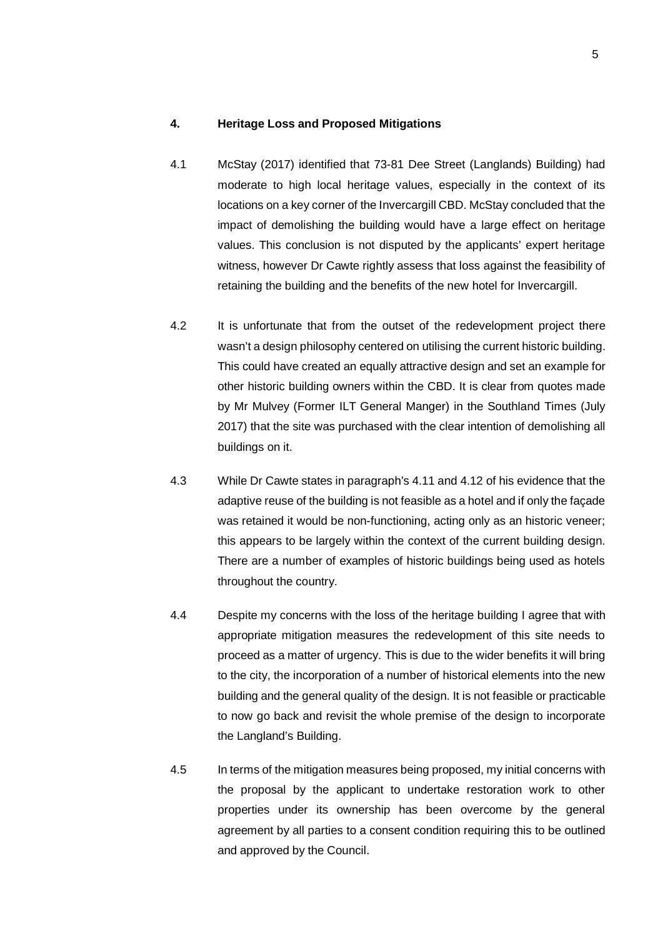#### **4. Heritage Loss and Proposed Mitigations**

- 4.1 McStay (2017) identified that 73-81 Dee Street (Langlands) Building) had moderate to high local heritage values, especially in the context of its locations on a key corner of the Invercargill CBD. McStay concluded that the impact of demolishing the building would have a large effect on heritage values. This conclusion is not disputed by the applicants' expert heritage witness, however Dr Cawte rightly assess that loss against the feasibility of retaining the building and the benefits of the new hotel for Invercargill.
- 4.2 It is unfortunate that from the outset of the redevelopment project there wasn't a design philosophy centered on utilising the current historic building. This could have created an equally attractive design and set an example for other historic building owners within the CBD. It is clear from quotes made by Mr Mulvey (Former ILT General Manger) in the Southland Times (July 2017) that the site was purchased with the clear intention of demolishing all buildings on it.
- 4.3 While Dr Cawte states in paragraph's 4.11 and 4.12 of his evidence that the adaptive reuse of the building is not feasible as a hotel and if only the façade was retained it would be non-functioning, acting only as an historic veneer; this appears to be largely within the context of the current building design. There are a number of examples of historic buildings being used as hotels throughout the country.
- 4.4 Despite my concerns with the loss of the heritage building I agree that with appropriate mitigation measures the redevelopment of this site needs to proceed as a matter of urgency. This is due to the wider benefits it will bring to the city, the incorporation of a number of historical elements into the new building and the general quality of the design. It is not feasible or practicable to now go back and revisit the whole premise of the design to incorporate the Langland's Building.
- 4.5 In terms of the mitigation measures being proposed, my initial concerns with the proposal by the applicant to undertake restoration work to other properties under its ownership has been overcome by the general agreement by all parties to a consent condition requiring this to be outlined and approved by the Council.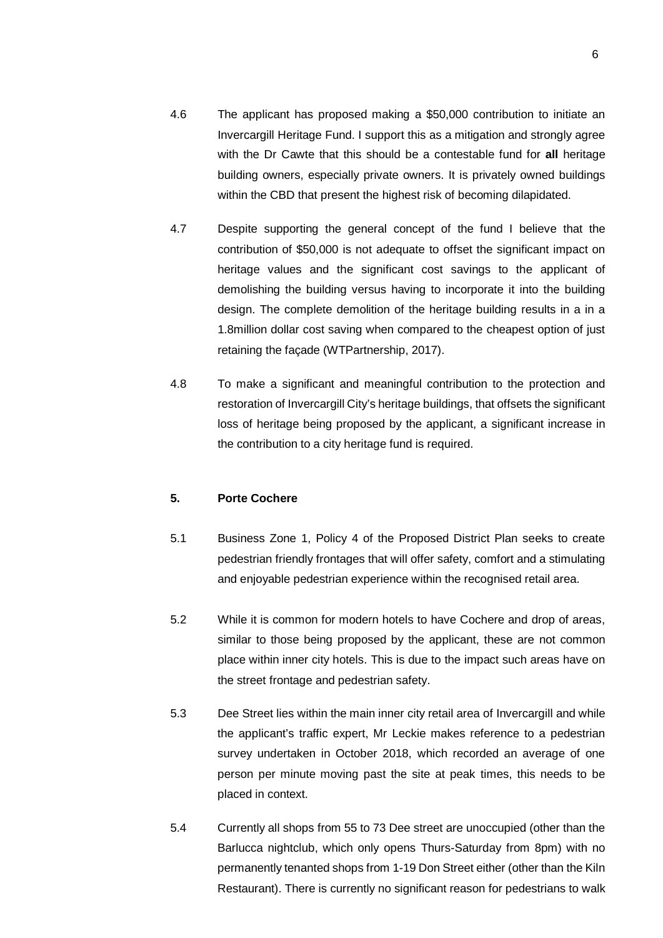- 4.6 The applicant has proposed making a \$50,000 contribution to initiate an Invercargill Heritage Fund. I support this as a mitigation and strongly agree with the Dr Cawte that this should be a contestable fund for **all** heritage building owners, especially private owners. It is privately owned buildings within the CBD that present the highest risk of becoming dilapidated.
- 4.7 Despite supporting the general concept of the fund I believe that the contribution of \$50,000 is not adequate to offset the significant impact on heritage values and the significant cost savings to the applicant of demolishing the building versus having to incorporate it into the building design. The complete demolition of the heritage building results in a in a 1.8million dollar cost saving when compared to the cheapest option of just retaining the façade (WTPartnership, 2017).
- 4.8 To make a significant and meaningful contribution to the protection and restoration of Invercargill City's heritage buildings, that offsets the significant loss of heritage being proposed by the applicant, a significant increase in the contribution to a city heritage fund is required.

#### **5. Porte Cochere**

- 5.1 Business Zone 1, Policy 4 of the Proposed District Plan seeks to create pedestrian friendly frontages that will offer safety, comfort and a stimulating and enjoyable pedestrian experience within the recognised retail area.
- 5.2 While it is common for modern hotels to have Cochere and drop of areas, similar to those being proposed by the applicant, these are not common place within inner city hotels. This is due to the impact such areas have on the street frontage and pedestrian safety.
- 5.3 Dee Street lies within the main inner city retail area of Invercargill and while the applicant's traffic expert, Mr Leckie makes reference to a pedestrian survey undertaken in October 2018, which recorded an average of one person per minute moving past the site at peak times, this needs to be placed in context.
- 5.4 Currently all shops from 55 to 73 Dee street are unoccupied (other than the Barlucca nightclub, which only opens Thurs-Saturday from 8pm) with no permanently tenanted shops from 1-19 Don Street either (other than the Kiln Restaurant). There is currently no significant reason for pedestrians to walk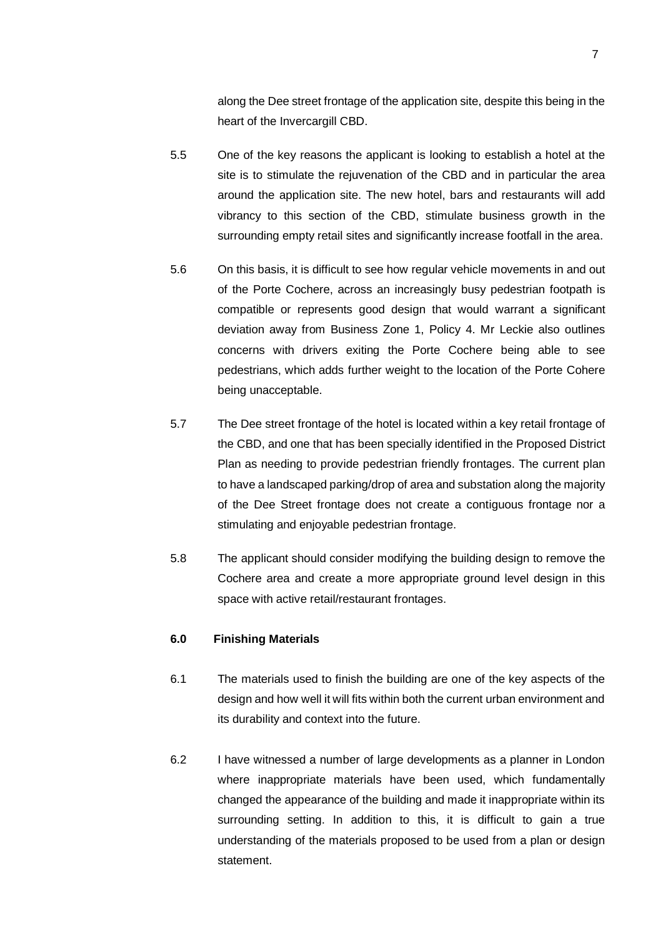along the Dee street frontage of the application site, despite this being in the heart of the Invercargill CBD.

- 5.5 One of the key reasons the applicant is looking to establish a hotel at the site is to stimulate the rejuvenation of the CBD and in particular the area around the application site. The new hotel, bars and restaurants will add vibrancy to this section of the CBD, stimulate business growth in the surrounding empty retail sites and significantly increase footfall in the area.
- 5.6 On this basis, it is difficult to see how regular vehicle movements in and out of the Porte Cochere, across an increasingly busy pedestrian footpath is compatible or represents good design that would warrant a significant deviation away from Business Zone 1, Policy 4. Mr Leckie also outlines concerns with drivers exiting the Porte Cochere being able to see pedestrians, which adds further weight to the location of the Porte Cohere being unacceptable.
- 5.7 The Dee street frontage of the hotel is located within a key retail frontage of the CBD, and one that has been specially identified in the Proposed District Plan as needing to provide pedestrian friendly frontages. The current plan to have a landscaped parking/drop of area and substation along the majority of the Dee Street frontage does not create a contiguous frontage nor a stimulating and enjoyable pedestrian frontage.
- 5.8 The applicant should consider modifying the building design to remove the Cochere area and create a more appropriate ground level design in this space with active retail/restaurant frontages.

#### **6.0 Finishing Materials**

- 6.1 The materials used to finish the building are one of the key aspects of the design and how well it will fits within both the current urban environment and its durability and context into the future.
- 6.2 I have witnessed a number of large developments as a planner in London where inappropriate materials have been used, which fundamentally changed the appearance of the building and made it inappropriate within its surrounding setting. In addition to this, it is difficult to gain a true understanding of the materials proposed to be used from a plan or design statement.